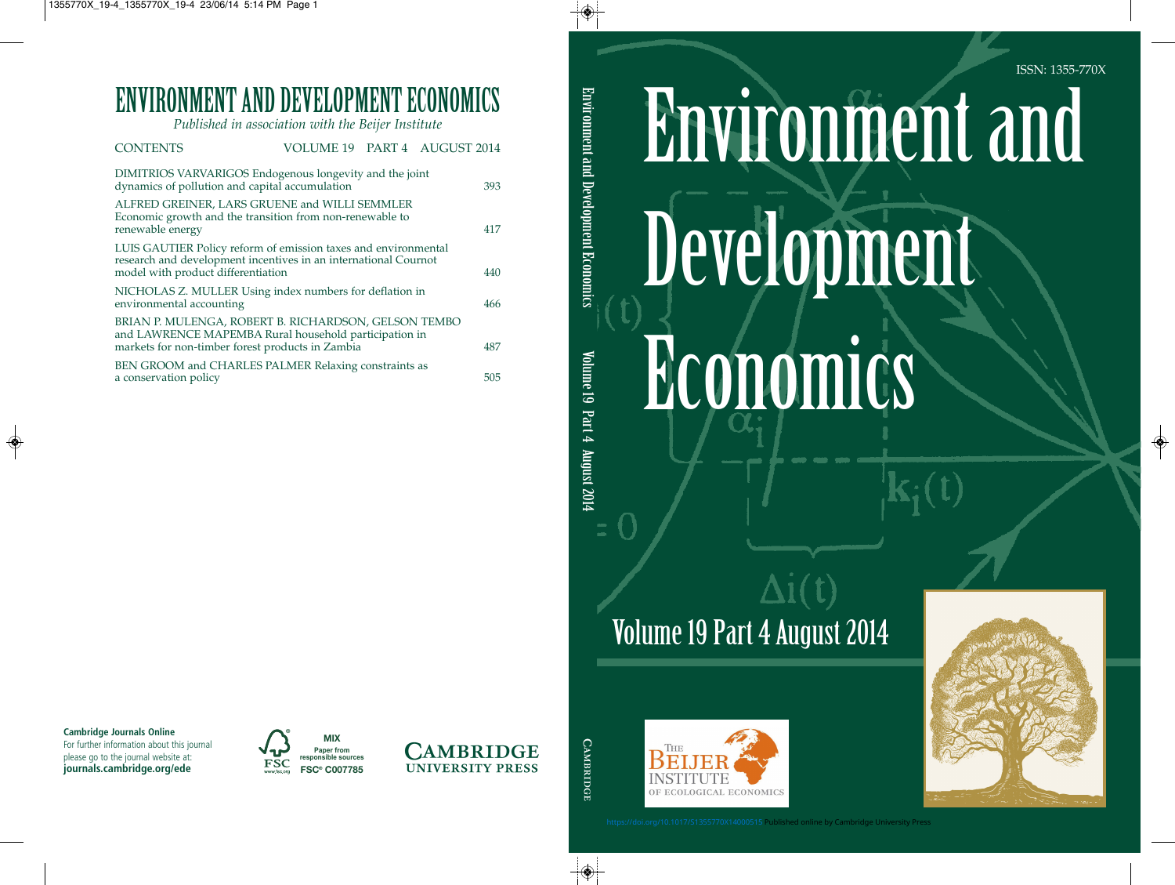# Environment and Development Economics

## Volume 19 Part 4 August 2014





ISSN: 1355-770X

<https://doi.org/10.1017/S1355770X14000515>Published online by Cambridge University Press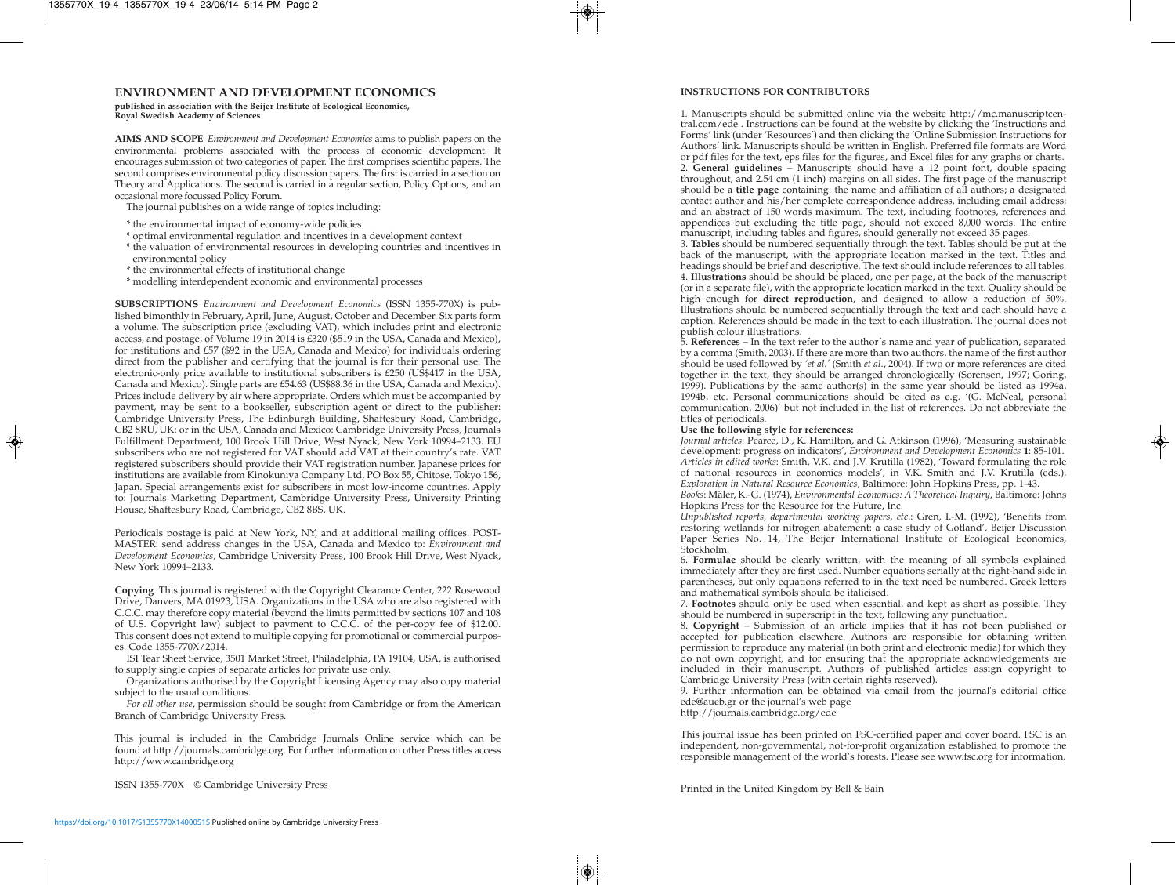#### **ENVIRONMENT AND DEVELOPMENT ECONOMICS**

**published in association with the Beijer Institute of Ecological Economics, Royal Swedish Academy of Sciences**

**AIMS AND SCOPE** *Environment and Development Economics* aims to publish papers on the environmental problems associated with the process of economic development. It encourages sub mission of two categories of paper. The first comprises scientific papers. The second comprises environmental policy discussion papers. The first is carried in a section on Theory and Applications. The second is carried in a regular section, Policy Options, and an occasional more focussed Policy Forum.

The journal publishes on a wide range of topics including:

- \* the environmental impact of economy-wide policies
- \* optimal environmental regulation and incentives in a development context
- \* the valuation of environmental resources in developing countries and incentives in environmental policy
- \* the environmental effects of institutional change
- \* modelling interdependent economic and environmental processes

**SUBSCRIPTIONS** *Environment and Development Economics* (ISSN 1355-770X) is published bimonthly in February, April, June, August, October and December. Six parts form a volume. The subscription price (excluding VAT), which includes print and electronic access, and postage, of Volume 19 in 2014 is £320 (\$519 in the USA, Canada and Mexico), for institutions and £57 (\$92 in the USA, Canada and Mexico) for individuals ordering direct from the publisher and certifying that the journal is for their personal use. The electronic-only price available to institutional subscribers is £250 (US\$417 in the USA, Canada and Mexico). Single parts are £54.63 (US\$88.36 in the USA, Canada and Mexico). Prices include delivery by air where appropriate. Orders which must be accompanied by payment, may be sent to a bookseller, subscription agent or direct to the publisher: Cambridge University Press, The Edinburgh Building, Shaftesbury Road, Cambridge, CB2 8RU, UK: or in the USA, Canada and Mexico: Cambridge University Press, Journals Fulfillment Department, 100 Brook Hill Drive, West Nyack, New York 10994–2133. EU subscribers who are not registered for VAT should add VAT at their country's rate. VAT registered subscribers should provide their VAT registration number. Japanese prices for institutions are available from Kinokuniya Company Ltd, PO Box 55, Chitose, Tokyo 156, Japan. Special arrangements exist for subscribers in most low-income countries. Apply to: Journals Marketing Department, Cambridge University Press, University Printing House, Shaftesbury Road, Cambridge, CB2 8BS, UK.

Periodicals postage is paid at New York, NY, and at additional mailing offices. POST-MASTER: send address changes in the USA, Canada and Mexico to: *Environment and Development Economics,* Cambridge University Press, 100 Brook Hill Drive, West Nyack, New York 10994–2133.

**Copying** This journal is registered with the Copyright Clearance Center, 222 Rosewood Drive, Danvers, MA 01923, USA. Organizations in the USA who are also registered with C.C.C. may therefore copy material (beyond the limits permitted by sections 107 and 108 of U.S. Copyright law) subject to payment to C.C.C. of the per-copy fee of \$12.00. This consent does not extend to multiple copying for promotional or commercial purposes. Code 1355-770X/2014.

ISI Tear Sheet Service, 3501 Market Street, Philadelphia, PA 19104, USA, is authorised to supply single copies of separate articles for private use only.

Organizations authorised by the Copyright Licensing Agency may also copy material subject to the usual conditions.

*For all other use*, permission should be sought from Cambridge or from the American Branch of Cambridge University Press.

This journal is included in the Cambridge Journals Online service which can be found at http://journals.cambridge.org. For further information on other Press titles access http://www.cambridge.org

ISSN 1355-770X © Cambridge University Press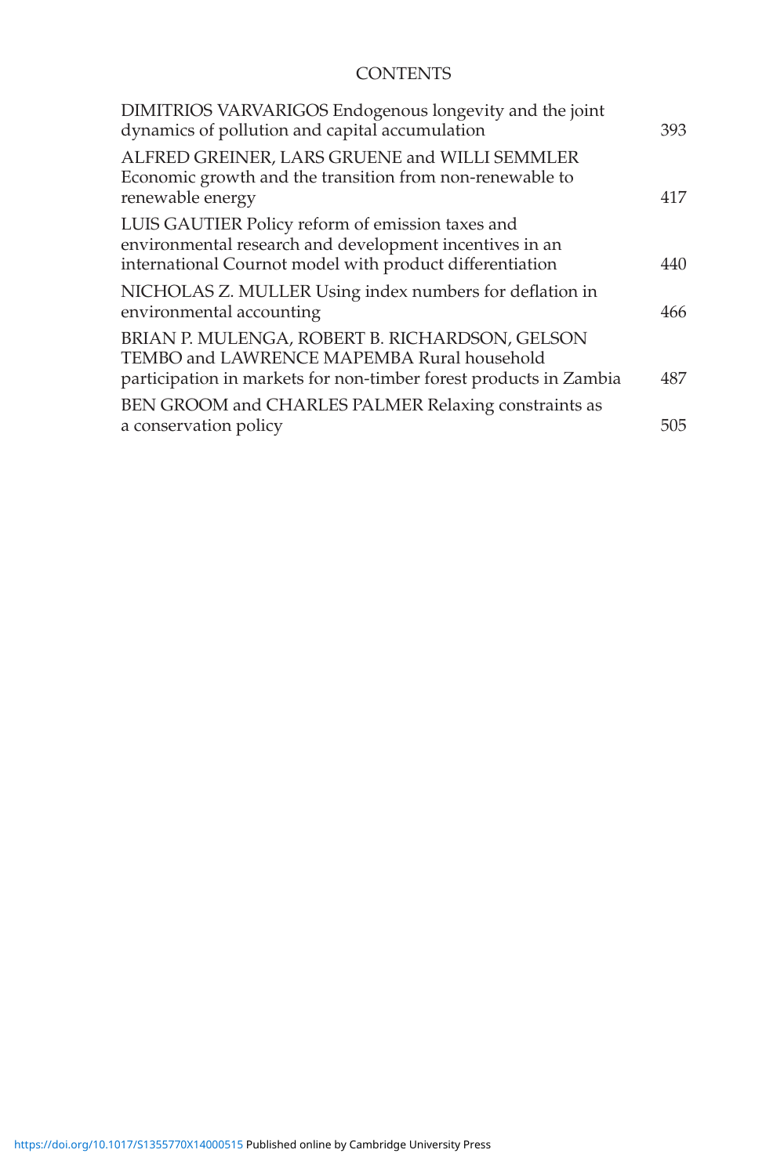### **CONTENTS**

| DIMITRIOS VARVARIGOS Endogenous longevity and the joint<br>dynamics of pollution and capital accumulation                                                               | 393 |
|-------------------------------------------------------------------------------------------------------------------------------------------------------------------------|-----|
| ALFRED GREINER, LARS GRUENE and WILLI SEMMLER<br>Economic growth and the transition from non-renewable to<br>renewable energy                                           | 417 |
| LUIS GAUTIER Policy reform of emission taxes and<br>environmental research and development incentives in an<br>international Cournot model with product differentiation | 440 |
| NICHOLAS Z. MULLER Using index numbers for deflation in<br>environmental accounting                                                                                     | 466 |
| BRIAN P. MULENGA, ROBERT B. RICHARDSON, GELSON<br>TEMBO and LAWRENCE MAPEMBA Rural household<br>participation in markets for non-timber forest products in Zambia       | 487 |
| BEN GROOM and CHARLES PALMER Relaxing constraints as<br>a conservation policy                                                                                           | 505 |